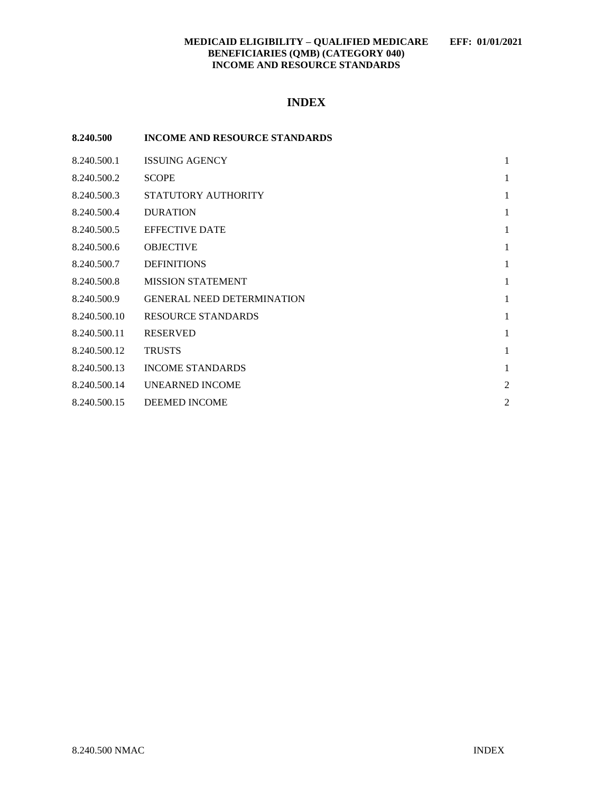## **INDEX**

| 8.240.500    | <b>INCOME AND RESOURCE STANDARDS</b> |                |
|--------------|--------------------------------------|----------------|
| 8.240.500.1  | <b>ISSUING AGENCY</b>                | $\mathbf{1}$   |
| 8.240.500.2  | <b>SCOPE</b>                         | 1              |
| 8.240.500.3  | STATUTORY AUTHORITY                  | 1              |
| 8.240.500.4  | <b>DURATION</b>                      | 1              |
| 8.240.500.5  | <b>EFFECTIVE DATE</b>                | 1              |
| 8.240.500.6  | <b>OBJECTIVE</b>                     | 1              |
| 8.240.500.7  | <b>DEFINITIONS</b>                   | 1              |
| 8.240.500.8  | <b>MISSION STATEMENT</b>             | $\mathbf{1}$   |
| 8.240.500.9  | <b>GENERAL NEED DETERMINATION</b>    | 1              |
| 8.240.500.10 | <b>RESOURCE STANDARDS</b>            | 1              |
| 8.240.500.11 | <b>RESERVED</b>                      | $\mathbf{1}$   |
| 8.240.500.12 | <b>TRUSTS</b>                        | 1              |
| 8.240.500.13 | <b>INCOME STANDARDS</b>              | 1              |
| 8.240.500.14 | <b>UNEARNED INCOME</b>               | $\overline{c}$ |
| 8.240.500.15 | <b>DEEMED INCOME</b>                 | $\overline{c}$ |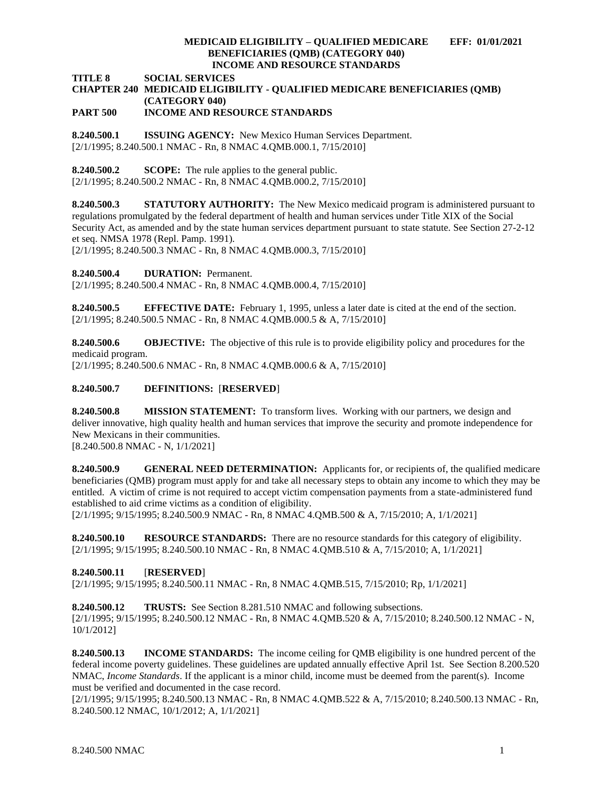**TITLE 8 SOCIAL SERVICES**

# **CHAPTER 240 MEDICAID ELIGIBILITY - QUALIFIED MEDICARE BENEFICIARIES (QMB) (CATEGORY 040)**

## **PART 500 INCOME AND RESOURCE STANDARDS**

<span id="page-1-0"></span>**8.240.500.1 ISSUING AGENCY:** New Mexico Human Services Department. [2/1/1995; 8.240.500.1 NMAC - Rn, 8 NMAC 4.QMB.000.1, 7/15/2010]

<span id="page-1-1"></span>**8.240.500.2 SCOPE:** The rule applies to the general public.

[2/1/1995; 8.240.500.2 NMAC - Rn, 8 NMAC 4.QMB.000.2, 7/15/2010]

<span id="page-1-2"></span>**8.240.500.3 STATUTORY AUTHORITY:** The New Mexico medicaid program is administered pursuant to regulations promulgated by the federal department of health and human services under Title XIX of the Social Security Act, as amended and by the state human services department pursuant to state statute. See Section 27-2-12 et seq. NMSA 1978 (Repl. Pamp. 1991).

[2/1/1995; 8.240.500.3 NMAC - Rn, 8 NMAC 4.QMB.000.3, 7/15/2010]

<span id="page-1-3"></span>**8.240.500.4 DURATION:** Permanent.

[2/1/1995; 8.240.500.4 NMAC - Rn, 8 NMAC 4.QMB.000.4, 7/15/2010]

<span id="page-1-4"></span>**8.240.500.5 EFFECTIVE DATE:** February 1, 1995, unless a later date is cited at the end of the section. [2/1/1995; 8.240.500.5 NMAC - Rn, 8 NMAC 4.QMB.000.5 & A, 7/15/2010]

<span id="page-1-5"></span>**8.240.500.6 OBJECTIVE:** The objective of this rule is to provide eligibility policy and procedures for the medicaid program.

[2/1/1995; 8.240.500.6 NMAC - Rn, 8 NMAC 4.QMB.000.6 & A, 7/15/2010]

## <span id="page-1-6"></span>**8.240.500.7 DEFINITIONS:** [**RESERVED**]

<span id="page-1-7"></span>**8.240.500.8 MISSION STATEMENT:** To transform lives. Working with our partners, we design and deliver innovative, high quality health and human services that improve the security and promote independence for New Mexicans in their communities.

[8.240.500.8 NMAC - N, 1/1/2021]

<span id="page-1-8"></span>**8.240.500.9 GENERAL NEED DETERMINATION:** Applicants for, or recipients of, the qualified medicare beneficiaries (QMB) program must apply for and take all necessary steps to obtain any income to which they may be entitled. A victim of crime is not required to accept victim compensation payments from a state-administered fund established to aid crime victims as a condition of eligibility.

[2/1/1995; 9/15/1995; 8.240.500.9 NMAC - Rn, 8 NMAC 4.QMB.500 & A, 7/15/2010; A, 1/1/2021]

<span id="page-1-9"></span>**8.240.500.10 RESOURCE STANDARDS:** There are no resource standards for this category of eligibility. [2/1/1995; 9/15/1995; 8.240.500.10 NMAC - Rn, 8 NMAC 4.QMB.510 & A, 7/15/2010; A, 1/1/2021]

<span id="page-1-10"></span>**8.240.500.11** [**RESERVED**]

[2/1/1995; 9/15/1995; 8.240.500.11 NMAC - Rn, 8 NMAC 4.QMB.515, 7/15/2010; Rp, 1/1/2021]

<span id="page-1-11"></span>**8.240.500.12 TRUSTS:** See Section 8.281.510 NMAC and following subsections. [2/1/1995; 9/15/1995; 8.240.500.12 NMAC - Rn, 8 NMAC 4.QMB.520 & A, 7/15/2010; 8.240.500.12 NMAC - N, 10/1/2012]

<span id="page-1-12"></span>**8.240.500.13 INCOME STANDARDS:** The income ceiling for QMB eligibility is one hundred percent of the federal income poverty guidelines. These guidelines are updated annually effective April 1st. See Section 8.200.520 NMAC, *Income Standards*. If the applicant is a minor child, income must be deemed from the parent(s). Income must be verified and documented in the case record.

[2/1/1995; 9/15/1995; 8.240.500.13 NMAC - Rn, 8 NMAC 4.QMB.522 & A, 7/15/2010; 8.240.500.13 NMAC - Rn, 8.240.500.12 NMAC, 10/1/2012; A, 1/1/2021]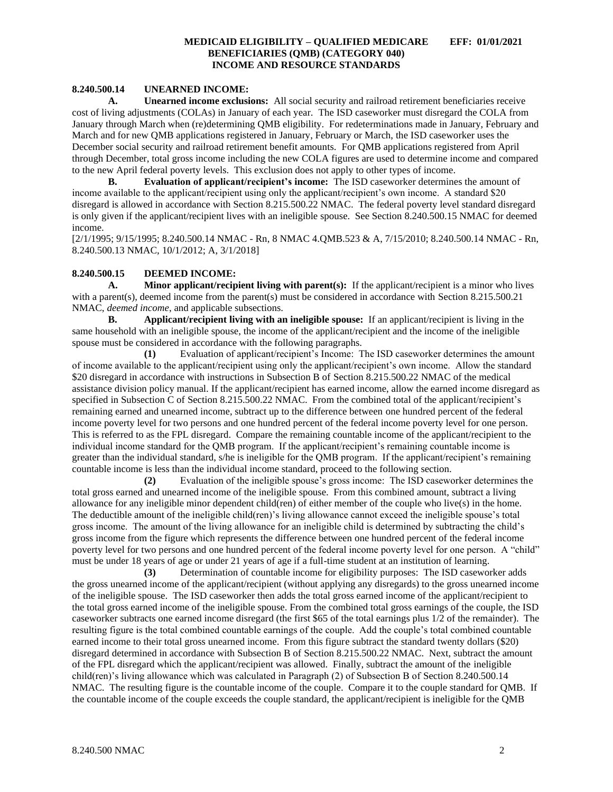### <span id="page-2-0"></span>**8.240.500.14 UNEARNED INCOME:**

**A. Unearned income exclusions:** All social security and railroad retirement beneficiaries receive cost of living adjustments (COLAs) in January of each year. The ISD caseworker must disregard the COLA from January through March when (re)determining QMB eligibility. For redeterminations made in January, February and March and for new QMB applications registered in January, February or March, the ISD caseworker uses the December social security and railroad retirement benefit amounts. For QMB applications registered from April through December, total gross income including the new COLA figures are used to determine income and compared to the new April federal poverty levels. This exclusion does not apply to other types of income.

**B. Evaluation of applicant/recipient's income:** The ISD caseworker determines the amount of income available to the applicant/recipient using only the applicant/recipient's own income. A standard \$20 disregard is allowed in accordance with Section 8.215.500.22 NMAC. The federal poverty level standard disregard is only given if the applicant/recipient lives with an ineligible spouse. See Section 8.240.500.15 NMAC for deemed income.

[2/1/1995; 9/15/1995; 8.240.500.14 NMAC - Rn, 8 NMAC 4.QMB.523 & A, 7/15/2010; 8.240.500.14 NMAC - Rn, 8.240.500.13 NMAC, 10/1/2012; A, 3/1/2018]

### <span id="page-2-1"></span>**8.240.500.15 DEEMED INCOME:**

**A. Minor applicant/recipient living with parent(s):** If the applicant/recipient is a minor who lives with a parent(s), deemed income from the parent(s) must be considered in accordance with Section 8.215.500.21 NMAC, *deemed income*, and applicable subsections.

**B. Applicant/recipient living with an ineligible spouse:** If an applicant/recipient is living in the same household with an ineligible spouse, the income of the applicant/recipient and the income of the ineligible spouse must be considered in accordance with the following paragraphs.

**(1)** Evaluation of applicant/recipient's Income: The ISD caseworker determines the amount of income available to the applicant/recipient using only the applicant/recipient's own income. Allow the standard \$20 disregard in accordance with instructions in Subsection B of Section 8.215.500.22 NMAC of the medical assistance division policy manual. If the applicant/recipient has earned income, allow the earned income disregard as specified in Subsection C of Section 8.215.500.22 NMAC. From the combined total of the applicant/recipient's remaining earned and unearned income, subtract up to the difference between one hundred percent of the federal income poverty level for two persons and one hundred percent of the federal income poverty level for one person. This is referred to as the FPL disregard. Compare the remaining countable income of the applicant/recipient to the individual income standard for the QMB program. If the applicant/recipient's remaining countable income is greater than the individual standard, s/he is ineligible for the QMB program. If the applicant/recipient's remaining countable income is less than the individual income standard, proceed to the following section.

**(2)** Evaluation of the ineligible spouse's gross income: The ISD caseworker determines the total gross earned and unearned income of the ineligible spouse. From this combined amount, subtract a living allowance for any ineligible minor dependent child(ren) of either member of the couple who live(s) in the home. The deductible amount of the ineligible child(ren)'s living allowance cannot exceed the ineligible spouse's total gross income. The amount of the living allowance for an ineligible child is determined by subtracting the child's gross income from the figure which represents the difference between one hundred percent of the federal income poverty level for two persons and one hundred percent of the federal income poverty level for one person. A "child" must be under 18 years of age or under 21 years of age if a full-time student at an institution of learning.

**(3)** Determination of countable income for eligibility purposes: The ISD caseworker adds the gross unearned income of the applicant/recipient (without applying any disregards) to the gross unearned income of the ineligible spouse. The ISD caseworker then adds the total gross earned income of the applicant/recipient to the total gross earned income of the ineligible spouse. From the combined total gross earnings of the couple, the ISD caseworker subtracts one earned income disregard (the first \$65 of the total earnings plus 1/2 of the remainder). The resulting figure is the total combined countable earnings of the couple. Add the couple's total combined countable earned income to their total gross unearned income. From this figure subtract the standard twenty dollars (\$20) disregard determined in accordance with Subsection B of Section 8.215.500.22 NMAC. Next, subtract the amount of the FPL disregard which the applicant/recipient was allowed. Finally, subtract the amount of the ineligible child(ren)'s living allowance which was calculated in Paragraph (2) of Subsection B of Section 8.240.500.14 NMAC. The resulting figure is the countable income of the couple. Compare it to the couple standard for QMB. If the countable income of the couple exceeds the couple standard, the applicant/recipient is ineligible for the QMB